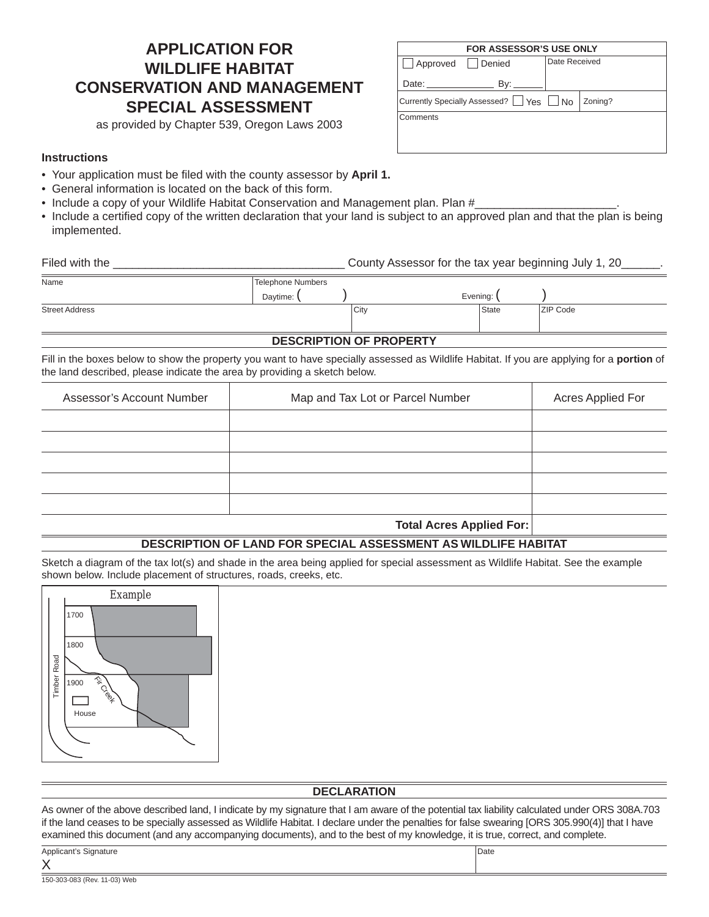# **APPLICATION FOR WILDLIFE HABITAT CONSERVATION AND MANAGEMENT SPECIAL ASSESSMENT**

as provided by Chapter 539, Oregon Laws 2003

### **Instructions**

- Your application must be filed with the county assessor by **April 1.**
- General information is located on the back of this form.
- Include a copy of your Wildlife Habitat Conservation and Management plan. Plan #
- Include a certified copy of the written declaration that your land is subject to an approved plan and that the plan is being implemented.

| Filed with the        |          |                                | County Assessor for the tax year beginning July 1, 20 |          |  |  |  |
|-----------------------|----------|--------------------------------|-------------------------------------------------------|----------|--|--|--|
| Name                  |          | Telephone Numbers              |                                                       |          |  |  |  |
|                       | Daytime: |                                | Evening:                                              |          |  |  |  |
| <b>Street Address</b> |          | City                           | State                                                 | ZIP Code |  |  |  |
|                       |          | <b>DESCRIPTION OF PROPERTY</b> |                                                       |          |  |  |  |

Fill in the boxes below to show the property you want to have specially assessed as Wildlife Habitat. If you are applying for a **portion** of the land described, please indicate the area by providing a sketch below.

| Assessor's Account Number       | Map and Tax Lot or Parcel Number | <b>Acres Applied For</b> |  |
|---------------------------------|----------------------------------|--------------------------|--|
|                                 |                                  |                          |  |
|                                 |                                  |                          |  |
|                                 |                                  |                          |  |
|                                 |                                  |                          |  |
|                                 |                                  |                          |  |
| <b>Total Acres Applied For:</b> |                                  |                          |  |

## **DESCRIPTION OF LAND FOR SPECIAL ASSESSMENT AS WILDLIFE HABITAT**

Sketch a diagram of the tax lot(s) and shade in the area being applied for special assessment as Wildlife Habitat. See the example shown below. Include placement of structures, roads, creeks, etc.



#### **DECLARATION**

As owner of the above described land, I indicate by my signature that I am aware of the potential tax liability calculated under ORS 308A.703 if the land ceases to be specially assessed as Wildlife Habitat. I declare under the penalties for false swearing [ORS 305.990(4)] that I have examined this document (and any accompanying documents), and to the best of my knowledge, it is true, correct, and complete.

| Applicant's Signature        | Date |
|------------------------------|------|
| $\checkmark$<br>∧            |      |
| 150-303-083 (Rev. 11-03) Web |      |

| <b>FOR ASSESSOR'S USE ONLY</b>           |               |         |  |  |  |
|------------------------------------------|---------------|---------|--|--|--|
| Approved   Denied                        | Date Received |         |  |  |  |
| Date:<br>Bv:                             |               |         |  |  |  |
| Currently Specially Assessed?   Yes   No |               | Zoning? |  |  |  |
| Comments                                 |               |         |  |  |  |
|                                          |               |         |  |  |  |